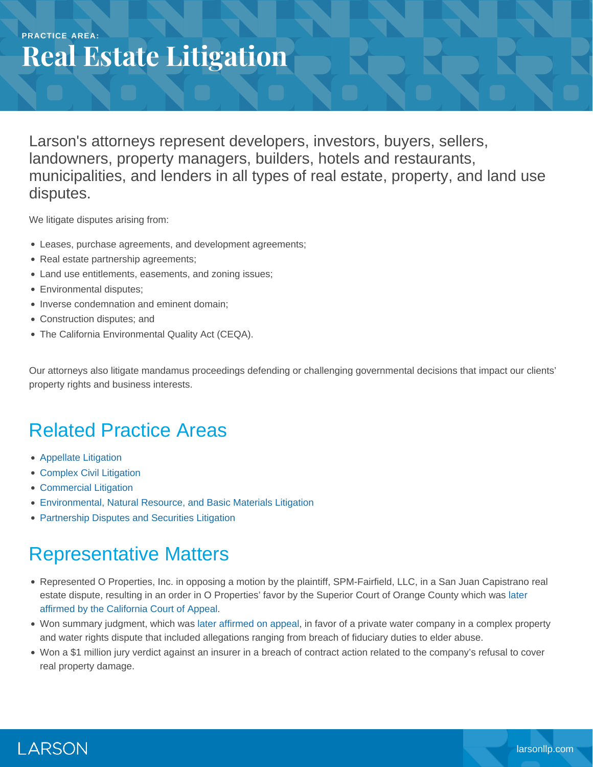#### **PRACTICE AREA: Real Estate Litigation**

Larson's attorneys represent developers, investors, buyers, sellers, landowners, property managers, builders, hotels and restaurants, municipalities, and lenders in all types of real estate, property, and land use disputes.

We litigate disputes arising from:

- Leases, purchase agreements, and development agreements;
- Real estate partnership agreements;
- Land use entitlements, easements, and zoning issues;
- **Environmental disputes;**
- Inverse condemnation and eminent domain;
- Construction disputes; and
- The California Environmental Quality Act (CEQA).

Our attorneys also litigate mandamus proceedings defending or challenging governmental decisions that impact our clients' property rights and business interests.

# Related Practice Areas

- [Appellate Litigation](https://www.larsonllp.com/practice-areas/appellate-litigation/)
- [Complex Civil Litigation](https://www.larsonllp.com/practice-areas/complex-civil-litigation/)
- [Commercial Litigation](https://www.larsonllp.com/practice-areas/complex-civil-litigation/commercial-litigation/)
- [Environmental, Natural Resource, and Basic Materials Litigation](https://www.larsonllp.com/practice-areas/complex-civil-litigation/environmental-natural-resource-and-basic-materials-litigation/)
- [Partnership Disputes and Securities Litigation](https://www.larsonllp.com/practice-areas/complex-civil-litigation/partnership-disputes-and-securities-litigation/)

### Representative Matters

- Represented O Properties, Inc. in opposing a motion by the plaintiff, SPM-Fairfield, LLC, in a San Juan Capistrano real estate dispute, resulting in an order in O Properties' favor by the Superior Court of Orange County which was [later](https://www.larsonllp.com/court-of-appeal-affirms-order-in-favor-of-client/) [affirmed by the California Court of Appeal.](https://www.larsonllp.com/court-of-appeal-affirms-order-in-favor-of-client/)
- Won summary judgment, which was [later affirmed on appeal](https://www.larsonllp.com/firms-summary-judgment-win-affirmed-on-appeal/), in favor of a private water company in a complex property and water rights dispute that included allegations ranging from breach of fiduciary duties to elder abuse.
- Won a \$1 million jury verdict against an insurer in a breach of contract action related to the company's refusal to cover real property damage.